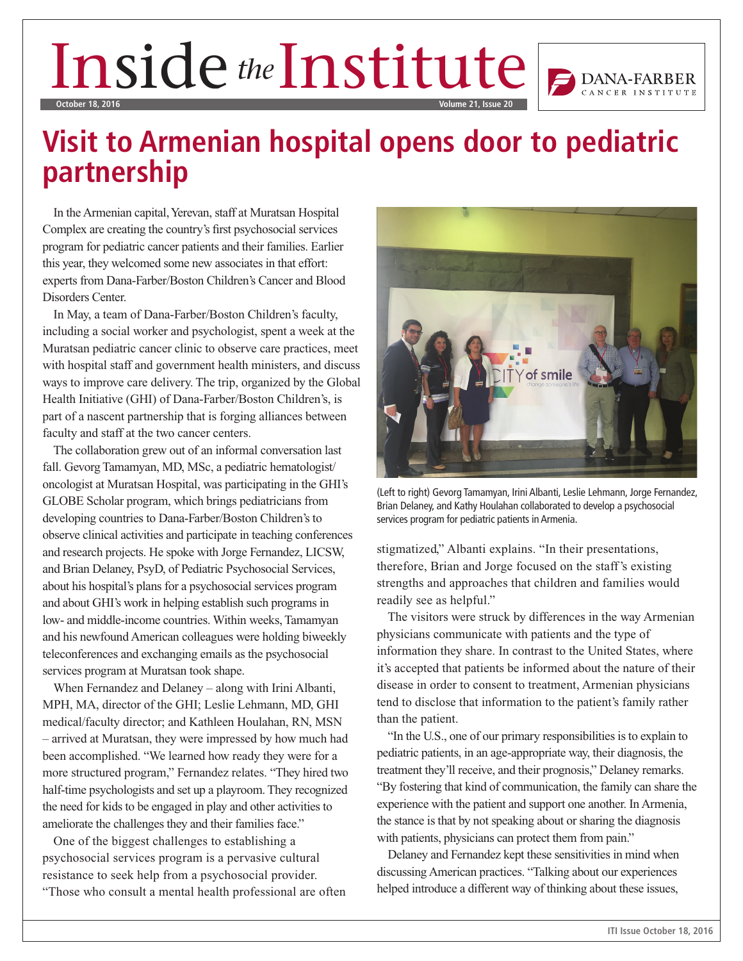## Inside the Institute  $\left| \right|_{\mathcal{P}_{\text{DANA-FAM}}}\right|$ **October 18, 2016 Volume 21, Issue 20**

## **Visit to Armenian hospital opens door to pediatric partnership**

In the Armenian capital, Yerevan, staff at Muratsan Hospital Complex are creating the country's first psychosocial services program for pediatric cancer patients and their families. Earlier this year, they welcomed some new associates in that effort: experts from Dana-Farber/Boston Children's Cancer and Blood Disorders Center.

In May, a team of Dana-Farber/Boston Children's faculty, including a social worker and psychologist, spent a week at the Muratsan pediatric cancer clinic to observe care practices, meet with hospital staff and government health ministers, and discuss ways to improve care delivery. The trip, organized by the Global Health Initiative (GHI) of Dana-Farber/Boston Children's, is part of a nascent partnership that is forging alliances between faculty and staff at the two cancer centers.

The collaboration grew out of an informal conversation last fall. Gevorg Tamamyan, MD, MSc, a pediatric hematologist/ oncologist at Muratsan Hospital, was participating in the GHI's GLOBE Scholar program, which brings pediatricians from developing countries to Dana-Farber/Boston Children's to observe clinical activities and participate in teaching conferences and research projects. He spoke with Jorge Fernandez, LICSW, and Brian Delaney, PsyD, of Pediatric Psychosocial Services, about his hospital's plans for a psychosocial services program and about GHI's work in helping establish such programs in low- and middle-income countries. Within weeks, Tamamyan and his newfound American colleagues were holding biweekly teleconferences and exchanging emails as the psychosocial services program at Muratsan took shape.

When Fernandez and Delaney – along with Irini Albanti, MPH, MA, director of the GHI; Leslie Lehmann, MD, GHI medical/faculty director; and Kathleen Houlahan, RN, MSN – arrived at Muratsan, they were impressed by how much had been accomplished. "We learned how ready they were for a more structured program," Fernandez relates. "They hired two half-time psychologists and set up a playroom. They recognized the need for kids to be engaged in play and other activities to ameliorate the challenges they and their families face."

One of the biggest challenges to establishing a psychosocial services program is a pervasive cultural resistance to seek help from a psychosocial provider. "Those who consult a mental health professional are often



(Left to right) Gevorg Tamamyan, Irini Albanti, Leslie Lehmann, Jorge Fernandez, Brian Delaney, and Kathy Houlahan collaborated to develop a psychosocial services program for pediatric patients in Armenia.

stigmatized," Albanti explains. "In their presentations, therefore, Brian and Jorge focused on the staff's existing strengths and approaches that children and families would readily see as helpful."

The visitors were struck by differences in the way Armenian physicians communicate with patients and the type of information they share. In contrast to the United States, where it's accepted that patients be informed about the nature of their disease in order to consent to treatment, Armenian physicians tend to disclose that information to the patient's family rather than the patient.

"In the U.S., one of our primary responsibilities is to explain to pediatric patients, in an age-appropriate way, their diagnosis, the treatment they'll receive, and their prognosis," Delaney remarks. "By fostering that kind of communication, the family can share the experience with the patient and support one another. In Armenia, the stance is that by not speaking about or sharing the diagnosis with patients, physicians can protect them from pain."

Delaney and Fernandez kept these sensitivities in mind when discussing American practices. "Talking about our experiences helped introduce a different way of thinking about these issues,